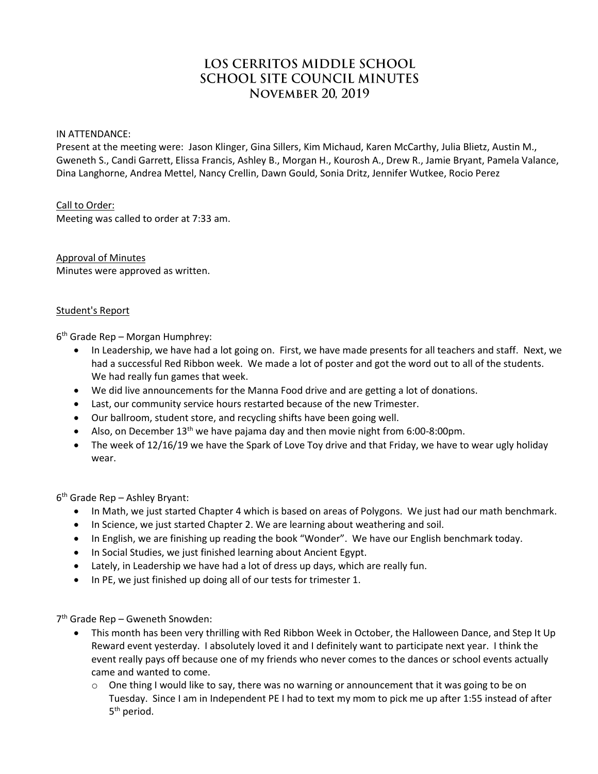# LOS CERRITOS MIDDLE SCHOOL **SCHOOL SITE COUNCIL MINUTES NOVEMBER 20, 2019**

### IN ATTENDANCE:

Present at the meeting were: Jason Klinger, Gina Sillers, Kim Michaud, Karen McCarthy, Julia Blietz, Austin M., Gweneth S., Candi Garrett, Elissa Francis, Ashley B., Morgan H., Kourosh A., Drew R., Jamie Bryant, Pamela Valance, Dina Langhorne, Andrea Mettel, Nancy Crellin, Dawn Gould, Sonia Dritz, Jennifer Wutkee, Rocio Perez

### Call to Order:

Meeting was called to order at 7:33 am.

Approval of Minutes Minutes were approved as written.

### Student's Report

6 th Grade Rep – Morgan Humphrey:

- In Leadership, we have had a lot going on. First, we have made presents for all teachers and staff. Next, we had a successful Red Ribbon week. We made a lot of poster and got the word out to all of the students. We had really fun games that week.
- We did live announcements for the Manna Food drive and are getting a lot of donations.
- Last, our community service hours restarted because of the new Trimester.
- Our ballroom, student store, and recycling shifts have been going well.
- Also, on December  $13<sup>th</sup>$  we have pajama day and then movie night from 6:00-8:00pm.
- The week of 12/16/19 we have the Spark of Love Toy drive and that Friday, we have to wear ugly holiday wear.

6 th Grade Rep – Ashley Bryant:

- In Math, we just started Chapter 4 which is based on areas of Polygons. We just had our math benchmark.
- In Science, we just started Chapter 2. We are learning about weathering and soil.
- In English, we are finishing up reading the book "Wonder". We have our English benchmark today.
- In Social Studies, we just finished learning about Ancient Egypt.
- Lately, in Leadership we have had a lot of dress up days, which are really fun.
- In PE, we just finished up doing all of our tests for trimester 1.

7 th Grade Rep – Gweneth Snowden:

- This month has been very thrilling with Red Ribbon Week in October, the Halloween Dance, and Step It Up Reward event yesterday. I absolutely loved it and I definitely want to participate next year. I think the event really pays off because one of my friends who never comes to the dances or school events actually came and wanted to come.
	- $\circ$  One thing I would like to say, there was no warning or announcement that it was going to be on Tuesday. Since I am in Independent PE I had to text my mom to pick me up after 1:55 instead of after 5<sup>th</sup> period.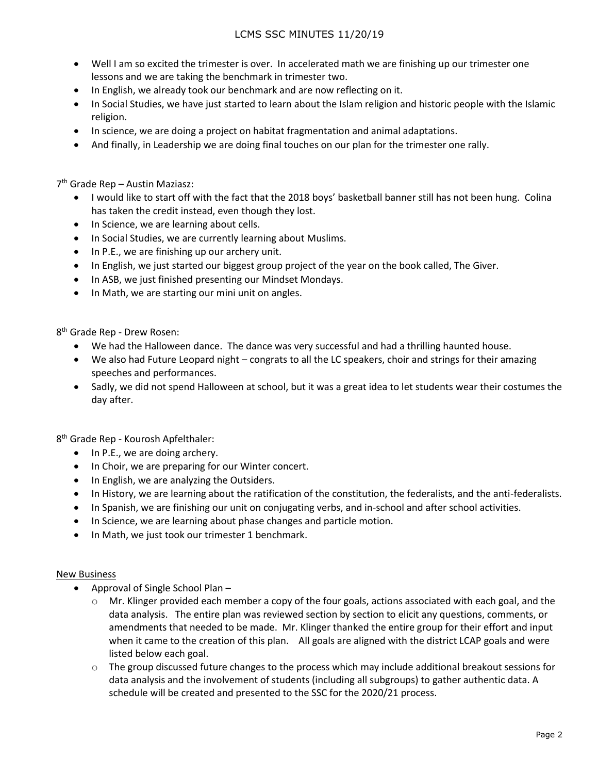## LCMS SSC MINUTES 11/20/19

- Well I am so excited the trimester is over. In accelerated math we are finishing up our trimester one lessons and we are taking the benchmark in trimester two.
- In English, we already took our benchmark and are now reflecting on it.
- In Social Studies, we have just started to learn about the Islam religion and historic people with the Islamic religion.
- In science, we are doing a project on habitat fragmentation and animal adaptations.
- And finally, in Leadership we are doing final touches on our plan for the trimester one rally.

7 th Grade Rep – Austin Maziasz:

- I would like to start off with the fact that the 2018 boys' basketball banner still has not been hung. Colina has taken the credit instead, even though they lost.
- In Science, we are learning about cells.
- In Social Studies, we are currently learning about Muslims.
- In P.E., we are finishing up our archery unit.
- In English, we just started our biggest group project of the year on the book called, The Giver.
- In ASB, we just finished presenting our Mindset Mondays.
- In Math, we are starting our mini unit on angles.

8 th Grade Rep - Drew Rosen:

- We had the Halloween dance. The dance was very successful and had a thrilling haunted house.
- We also had Future Leopard night congrats to all the LC speakers, choir and strings for their amazing speeches and performances.
- Sadly, we did not spend Halloween at school, but it was a great idea to let students wear their costumes the day after.

8<sup>th</sup> Grade Rep - Kourosh Apfelthaler:

- In P.E., we are doing archery.
- In Choir, we are preparing for our Winter concert.
- In English, we are analyzing the Outsiders.
- In History, we are learning about the ratification of the constitution, the federalists, and the anti-federalists.
- In Spanish, we are finishing our unit on conjugating verbs, and in-school and after school activities.
- In Science, we are learning about phase changes and particle motion.
- In Math, we just took our trimester 1 benchmark.

#### New Business

- Approval of Single School Plan
	- o Mr. Klinger provided each member a copy of the four goals, actions associated with each goal, and the data analysis. The entire plan was reviewed section by section to elicit any questions, comments, or amendments that needed to be made. Mr. Klinger thanked the entire group for their effort and input when it came to the creation of this plan. All goals are aligned with the district LCAP goals and were listed below each goal.
	- $\circ$  The group discussed future changes to the process which may include additional breakout sessions for data analysis and the involvement of students (including all subgroups) to gather authentic data. A schedule will be created and presented to the SSC for the 2020/21 process.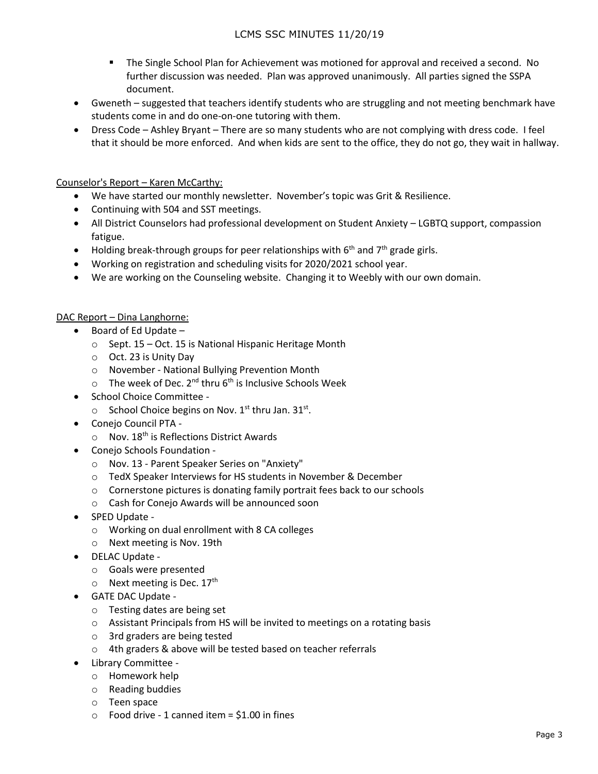- The Single School Plan for Achievement was motioned for approval and received a second. No further discussion was needed. Plan was approved unanimously. All parties signed the SSPA document.
- Gweneth suggested that teachers identify students who are struggling and not meeting benchmark have students come in and do one-on-one tutoring with them.
- Dress Code Ashley Bryant There are so many students who are not complying with dress code. I feel that it should be more enforced. And when kids are sent to the office, they do not go, they wait in hallway.

## Counselor's Report – Karen McCarthy:

- We have started our monthly newsletter. November's topic was Grit & Resilience.
- Continuing with 504 and SST meetings.
- All District Counselors had professional development on Student Anxiety LGBTQ support, compassion fatigue.
- $\bullet$  Holding break-through groups for peer relationships with 6<sup>th</sup> and 7<sup>th</sup> grade girls.
- Working on registration and scheduling visits for 2020/2021 school year.
- We are working on the Counseling website. Changing it to Weebly with our own domain.

## DAC Report – Dina Langhorne:

- $\bullet$  Board of Ed Update
	- o Sept. 15 Oct. 15 is National Hispanic Heritage Month
	- o Oct. 23 is Unity Day
	- o November National Bullying Prevention Month
	- $\circ$  The week of Dec. 2<sup>nd</sup> thru 6<sup>th</sup> is Inclusive Schools Week
- School Choice Committee -
	- $\circ$  School Choice begins on Nov. 1<sup>st</sup> thru Jan. 31<sup>st</sup>.
- Conejo Council PTA
	- $\circ$  Nov. 18<sup>th</sup> is Reflections District Awards
- Conejo Schools Foundation
	- o Nov. 13 Parent Speaker Series on "Anxiety"
	- o TedX Speaker Interviews for HS students in November & December
	- o Cornerstone pictures is donating family portrait fees back to our schools
	- o Cash for Conejo Awards will be announced soon
- SPED Update
	- o Working on dual enrollment with 8 CA colleges
	- o Next meeting is Nov. 19th
- DELAC Update
	- o Goals were presented
	- $\circ$  Next meeting is Dec. 17<sup>th</sup>
- GATE DAC Update
	- o Testing dates are being set
	- o Assistant Principals from HS will be invited to meetings on a rotating basis
	- o 3rd graders are being tested
	- o 4th graders & above will be tested based on teacher referrals
- Library Committee
	- o Homework help
	- o Reading buddies
	- o Teen space
	- $\circ$  Food drive 1 canned item = \$1.00 in fines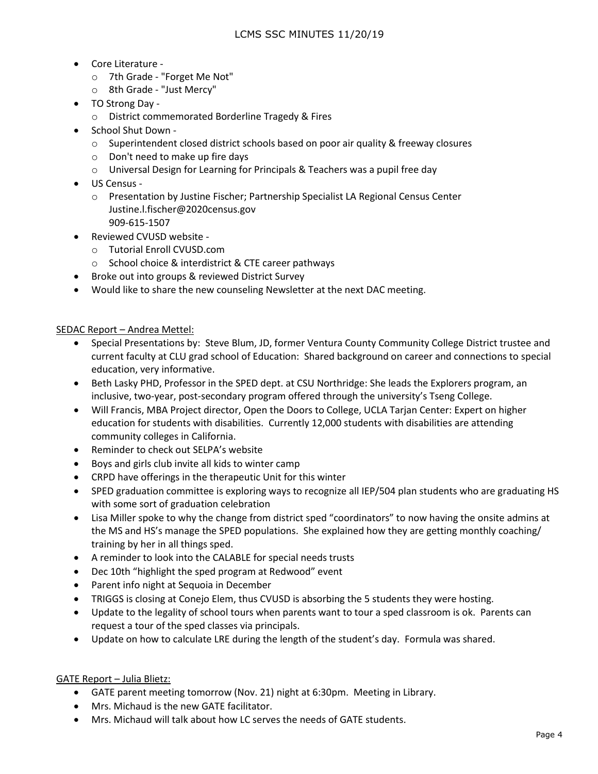- Core Literature
	- o 7th Grade "Forget Me Not"
	- o 8th Grade "Just Mercy"
- TO Strong Day
	- o District commemorated Borderline Tragedy & Fires
- School Shut Down -
	- $\circ$  Superintendent closed district schools based on poor air quality & freeway closures
	- o Don't need to make up fire days
	- $\circ$  Universal Design for Learning for Principals & Teachers was a pupil free day
- US Census
	- o Presentation by Justine Fischer; Partnership Specialist LA Regional Census Center Justine.l.fischer@2020census.gov 909-615-1507
- Reviewed CVUSD website
	- o Tutorial Enroll CVUSD.com
	- o School choice & interdistrict & CTE career pathways
- Broke out into groups & reviewed District Survey
- Would like to share the new counseling Newsletter at the next DAC meeting.

### SEDAC Report – Andrea Mettel:

- Special Presentations by: Steve Blum, JD, former Ventura County Community College District trustee and current faculty at CLU grad school of Education: Shared background on career and connections to special education, very informative.
- Beth Lasky PHD, Professor in the SPED dept. at CSU Northridge: She leads the Explorers program, an inclusive, two-year, post-secondary program offered through the university's Tseng College.
- Will Francis, MBA Project director, Open the Doors to College, UCLA Tarjan Center: Expert on higher education for students with disabilities. Currently 12,000 students with disabilities are attending community colleges in California.
- Reminder to check out SELPA's website
- Boys and girls club invite all kids to winter camp
- CRPD have offerings in the therapeutic Unit for this winter
- SPED graduation committee is exploring ways to recognize all IEP/504 plan students who are graduating HS with some sort of graduation celebration
- Lisa Miller spoke to why the change from district sped "coordinators" to now having the onsite admins at the MS and HS's manage the SPED populations. She explained how they are getting monthly coaching/ training by her in all things sped.
- A reminder to look into the CALABLE for special needs trusts
- Dec 10th "highlight the sped program at Redwood" event
- Parent info night at Sequoia in December
- TRIGGS is closing at Conejo Elem, thus CVUSD is absorbing the 5 students they were hosting.
- Update to the legality of school tours when parents want to tour a sped classroom is ok. Parents can request a tour of the sped classes via principals.
- Update on how to calculate LRE during the length of the student's day. Formula was shared.

## GATE Report – Julia Blietz:

- GATE parent meeting tomorrow (Nov. 21) night at 6:30pm. Meeting in Library.
- Mrs. Michaud is the new GATE facilitator.
- Mrs. Michaud will talk about how LC serves the needs of GATE students.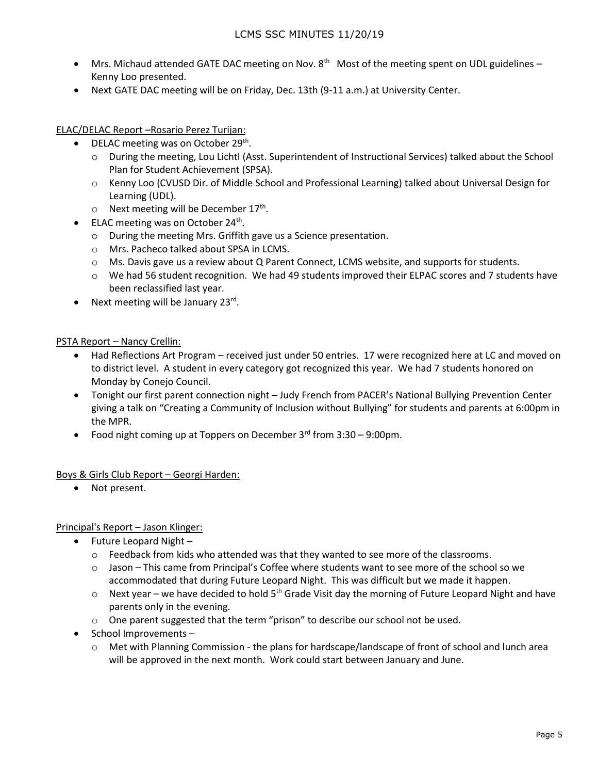- $\bullet$  Mrs. Michaud attended GATE DAC meeting on Nov. 8<sup>th</sup> Most of the meeting spent on UDL guidelines Kenny Loo presented.
- Next GATE DAC meeting will be on Friday, Dec. 13th (9-11 a.m.) at University Center.

ELAC/DELAC Report –Rosario Perez Turijan:

- DELAC meeting was on October 29<sup>th</sup>.
	- o During the meeting, Lou Lichtl (Asst. Superintendent of Instructional Services) talked about the School Plan for Student Achievement (SPSA).
	- o Kenny Loo (CVUSD Dir. of Middle School and Professional Learning) talked about Universal Design for Learning (UDL).
	- $\circ$  Next meeting will be December 17<sup>th</sup>.
- ELAC meeting was on October 24<sup>th</sup>.
	- o During the meeting Mrs. Griffith gave us a Science presentation.
	- o Mrs. Pacheco talked about SPSA in LCMS.
	- o Ms. Davis gave us a review about Q Parent Connect, LCMS website, and supports for students.
	- $\circ$  We had 56 student recognition. We had 49 students improved their ELPAC scores and 7 students have been reclassified last year.
- Next meeting will be January 23rd.

### PSTA Report – Nancy Crellin:

- Had Reflections Art Program received just under 50 entries. 17 were recognized here at LC and moved on to district level. A student in every category got recognized this year. We had 7 students honored on Monday by Conejo Council.
- Tonight our first parent connection night Judy French from PACER's National Bullying Prevention Center giving a talk on "Creating a Community of Inclusion without Bullying" for students and parents at 6:00pm in the MPR.
- Food night coming up at Toppers on December  $3<sup>rd</sup>$  from  $3:30 9:00$ pm.

## Boys & Girls Club Report – Georgi Harden:

Not present.

Principal's Report – Jason Klinger:

- $\bullet$  Future Leopard Night
	- $\circ$  Feedback from kids who attended was that they wanted to see more of the classrooms.
	- $\circ$  Jason This came from Principal's Coffee where students want to see more of the school so we accommodated that during Future Leopard Night. This was difficult but we made it happen.
	- $\circ$  Next year we have decided to hold 5<sup>th</sup> Grade Visit day the morning of Future Leopard Night and have parents only in the evening.
	- $\circ$  One parent suggested that the term "prison" to describe our school not be used.
- School Improvements
	- o Met with Planning Commission the plans for hardscape/landscape of front of school and lunch area will be approved in the next month. Work could start between January and June.